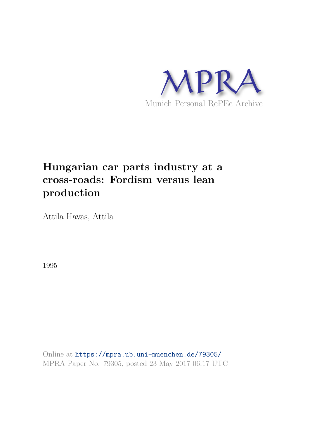

# **Hungarian car parts industry at a cross-roads: Fordism versus lean production**

Attila Havas, Attila

1995

Online at https://mpra.ub.uni-muenchen.de/79305/ MPRA Paper No. 79305, posted 23 May 2017 06:17 UTC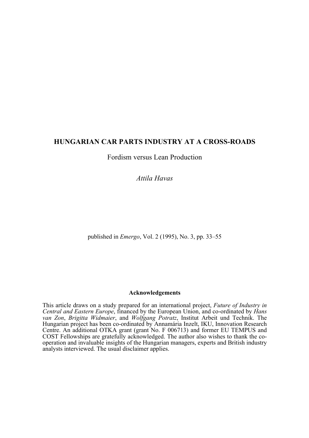# **HUNGARIAN CAR PARTS INDUSTRY AT A CROSS-ROADS**

Fordism versus Lean Production

*Attila Havas*

published in *Emergo*, Vol. 2 (1995), No. 3, pp. 33–55

## **Acknowledgements**

This article draws on a study prepared for an international project, *Future of Industry in Central and Eastern Europe*, financed by the European Union, and co-ordinated by *Hans van Zon*, *Brigitta Widmaier*, and *Wolfgang Potratz*, Institut Arbeit und Technik. The Hungarian project has been co-ordinated by Annamária Inzelt, IKU, Innovation Research Centre. An additional OTKA grant (grant No. F 006713) and former EU TEMPUS and COST Fellowships are gratefully acknowledged. The author also wishes to thank the cooperation and invaluable insights of the Hungarian managers, experts and British industry analysts interviewed. The usual disclaimer applies.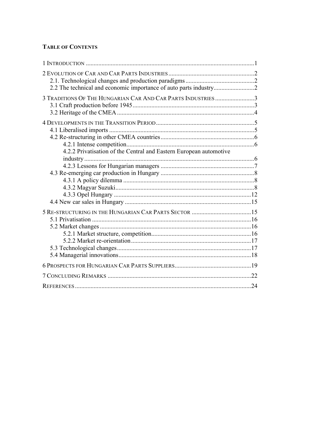# **TABLE OF CONTENTS**

| 3 TRADITIONS OF THE HUNGARIAN CAR AND CAR PARTS INDUSTRIES 3       |  |
|--------------------------------------------------------------------|--|
|                                                                    |  |
|                                                                    |  |
|                                                                    |  |
|                                                                    |  |
|                                                                    |  |
|                                                                    |  |
| 4.2.2 Privatisation of the Central and Eastern European automotive |  |
|                                                                    |  |
|                                                                    |  |
|                                                                    |  |
|                                                                    |  |
|                                                                    |  |
|                                                                    |  |
|                                                                    |  |
|                                                                    |  |
|                                                                    |  |
|                                                                    |  |
|                                                                    |  |
|                                                                    |  |
|                                                                    |  |
|                                                                    |  |
|                                                                    |  |
|                                                                    |  |
|                                                                    |  |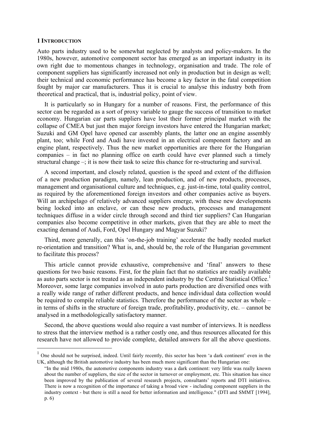#### **1 INTRODUCTION**

 $\overline{a}$ 

Auto parts industry used to be somewhat neglected by analysts and policy-makers. In the 1980s, however, automotive component sector has emerged as an important industry in its own right due to momentous changes in technology, organisation and trade. The role of component suppliers has significantly increased not only in production but in design as well; their technical and economic performance has become a key factor in the fatal competition fought by major car manufacturers. Thus it is crucial to analyse this industry both from theoretical and practical, that is, industrial policy, point of view.

It is particularly so in Hungary for a number of reasons. First, the performance of this sector can be regarded as a sort of proxy variable to gauge the success of transition to market economy. Hungarian car parts suppliers have lost their former principal market with the collapse of CMEA but just then major foreign investors have entered the Hungarian market; Suzuki and GM Opel have opened car assembly plants, the latter one an engine assembly plant, too; while Ford and Audi have invested in an electrical component factory and an engine plant, respectively. Thus the new market opportunities are there for the Hungarian companies – in fact no planning office on earth could have ever planned such a timely structural change –; it is now their task to seize this chance for re-structuring and survival.

A second important, and closely related, question is the speed and extent of the diffusion of a new production paradigm, namely, lean production, and of new products, processes, management and organisational culture and techniques, e.g. just-in-time, total quality control, as required by the aforementioned foreign investors and other companies active as buyers. Will an archipelago of relatively advanced suppliers emerge, with these new developments being locked into an enclave, or can these new products, processes and management techniques diffuse in a wider circle through second and third tier suppliers? Can Hungarian companies also become competitive in other markets, given that they are able to meet the exacting demand of Audi, Ford, Opel Hungary and Magyar Suzuki?

Third, more generally, can this 'on-the-job training' accelerate the badly needed market re-orientation and transition? What is, and, should be, the role of the Hungarian government to facilitate this process?

This article cannot provide exhaustive, comprehensive and 'final' answers to these questions for two basic reasons. First, for the plain fact that no statistics are readily available as auto parts sector is not treated as an independent industry by the Central Statistical Office.<sup>1</sup> Moreover, some large companies involved in auto parts production are diversified ones with a really wide range of rather different products, and hence individual data collection would be required to compile reliable statistics. Therefore the performance of the sector as whole – in terms of shifts in the structure of foreign trade, profitability, productivity, etc. – cannot be analysed in a methodologically satisfactory manner.

Second, the above questions would also require a vast number of interviews. It is needless to stress that the interview method is a rather costly one, and thus resources allocated for this research have not allowed to provide complete, detailed answers for all the above questions.

<sup>&</sup>lt;sup>1</sup> One should not be surprised, indeed. Until fairly recently, this sector has been 'a dark continent' even in the UK, although the British automotive industry has been much more significant than the Hungarian one:

<sup>&</sup>quot;In the mid 1980s, the automotive components industry was a dark continent: very little was really known about the number of suppliers, the size of the sector in turnover or employment, etc. This situation has since been improved by the publication of several research projects, consultants' reports and DTI initiatives. There is now a recognition of the importance of taking a broad view - including component suppliers in the industry context - but there is still a need for better information and intelligence." (DTI and SMMT [1994], p. 6)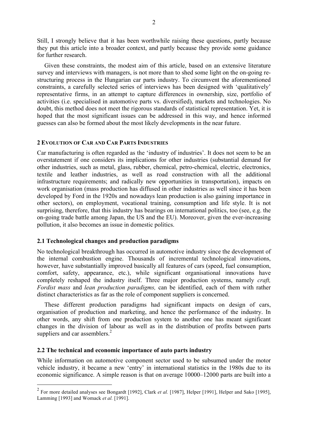Still, I strongly believe that it has been worthwhile raising these questions, partly because they put this article into a broader context, and partly because they provide some guidance for further research.

Given these constraints, the modest aim of this article, based on an extensive literature survey and interviews with managers, is not more than to shed some light on the on-going restructuring process in the Hungarian car parts industry. To circumvent the aforementioned constraints, a carefully selected series of interviews has been designed with 'qualitatively' representative firms, in an attempt to capture differences in ownership, size, portfolio of activities (i.e. specialised in automotive parts vs. diversified), markets and technologies. No doubt, this method does not meet the rigorous standards of statistical representation. Yet, it is hoped that the most significant issues can be addressed in this way, and hence informed guesses can also be formed about the most likely developments in the near future.

## **2 EVOLUTION OF CAR AND CAR PARTS INDUSTRIES**

Car manufacturing is often regarded as the 'industry of industries'. It does not seem to be an overstatement if one considers its implications for other industries (substantial demand for other industries, such as metal, glass, rubber, chemical, petro-chemical, electric, electronics, textile and leather industries, as well as road construction with all the additional infrastructure requirements; and radically new opportunities in transportation), impacts on work organisation (mass production has diffused in other industries as well since it has been developed by Ford in the 1920s and nowadays lean production is also gaining importance in other sectors), on employment, vocational training, consumption and life style. It is not surprising, therefore, that this industry has bearings on international politics, too (see, e.g. the on-going trade battle among Japan, the US and the EU). Moreover, given the ever-increasing pollution, it also becomes an issue in domestic politics.

## **2.1 Technological changes and production paradigms**

No technological breakthrough has occurred in automotive industry since the development of the internal combustion engine. Thousands of incremental technological innovations, however, have substantially improved basically all features of cars (speed, fuel consumption, comfort, safety, appearance, etc.), while significant organisational innovations have completely reshaped the industry itself. Three major production systems, namely *craft, Fordist mass* and *lean production paradigms,* can be identified, each of them with rather distinct characteristics as far as the role of component suppliers is concerned.

These different production paradigms had significant impacts on design of cars, organisation of production and marketing, and hence the performance of the industry. In other words, any shift from one production system to another one has meant significant changes in the division of labour as well as in the distribution of profits between parts suppliers and car assemblers.<sup>2</sup>

#### **2.2 The technical and economic importance of auto parts industry**

 $\overline{a}$ 

While information on automotive component sector used to be subsumed under the motor vehicle industry, it became a new 'entry' in international statistics in the 1980s due to its economic significance. A simple reason is that on average 10000–12000 parts are built into a

<sup>2</sup> For more detailed analyses see Bongardt [1992], Clark *et al.* [1987], Helper [1991], Helper and Sako [1995], Lamming [1993] and Womack *et al.* [1991].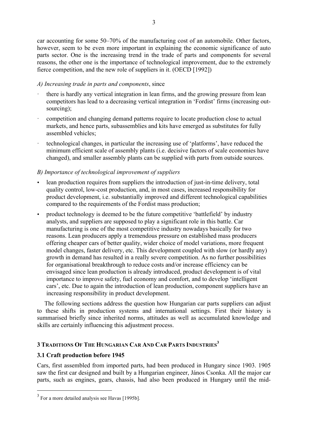car accounting for some 50–70% of the manufacturing cost of an automobile. Other factors, however, seem to be even more important in explaining the economic significance of auto parts sector. One is the increasing trend in the trade of parts and components for several reasons, the other one is the importance of technological improvement, due to the extremely fierce competition, and the new role of suppliers in it. (OECD [1992])

## *A) Increasing trade in parts and components*, since

- there is hardly any vertical integration in lean firms, and the growing pressure from lean competitors has lead to a decreasing vertical integration in 'Fordist' firms (increasing outsourcing);
- · competition and changing demand patterns require to locate production close to actual markets, and hence parts, subassemblies and kits have emerged as substitutes for fully assembled vehicles;
- · technological changes, in particular the increasing use of 'platforms', have reduced the minimum efficient scale of assembly plants (i.e. decisive factors of scale economies have changed), and smaller assembly plants can be supplied with parts from outside sources.

## *B) Importance of technological improvement of suppliers*

- lean production requires from suppliers the introduction of just-in-time delivery, total quality control, low-cost production, and, in most cases, increased responsibility for product development, i.e. substantially improved and different technological capabilities compared to the requirements of the Fordist mass production;
- product technology is deemed to be the future competitive 'battlefield' by industry analysts, and suppliers are supposed to play a significant role in this battle. Car manufacturing is one of the most competitive industry nowadays basically for two reasons. Lean producers apply a tremendous pressure on established mass producers offering cheaper cars of better quality, wider choice of model variations, more frequent model changes, faster delivery, etc. This development coupled with slow (or hardly any) growth in demand has resulted in a really severe competition. As no further possibilities for organisational breakthrough to reduce costs and/or increase efficiency can be envisaged since lean production is already introduced, product development is of vital importance to improve safety, fuel economy and comfort, and to develop 'intelligent cars', etc. Due to again the introduction of lean production, component suppliers have an increasing responsibility in product development.

The following sections address the question how Hungarian car parts suppliers can adjust to these shifts in production systems and international settings. First their history is summarised briefly since inherited norms, attitudes as well as accumulated knowledge and skills are certainly influencing this adjustment process.

# **3 TRADITIONS OF THE HUNGARIAN CAR AND CAR PARTS INDUSTRIES<sup>3</sup>**

## **3.1 Craft production before 1945**

 $\overline{a}$ 

Cars, first assembled from imported parts, had been produced in Hungary since 1903. 1905 saw the first car designed and built by a Hungarian engineer, János Csonka. All the major car parts, such as engines, gears, chassis, had also been produced in Hungary until the mid-

 $3$  For a more detailed analysis see Havas [1995b].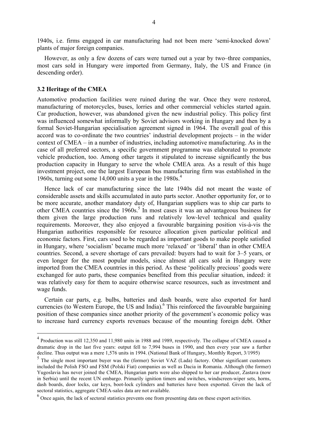1940s, i.e. firms engaged in car manufacturing had not been mere 'semi-knocked down' plants of major foreign companies.

However, as only a few dozens of cars were turned out a year by two–three companies, most cars sold in Hungary were imported from Germany, Italy, the US and France (in descending order).

#### **3.2 Heritage of the CMEA**

 $\overline{a}$ 

Automotive production facilities were ruined during the war. Once they were restored, manufacturing of motorcycles, buses, lorries and other commercial vehicles started again. Car production, however, was abandoned given the new industrial policy. This policy first was influenced somewhat informally by Soviet advisors working in Hungary and then by a formal Soviet-Hungarian specialisation agreement signed in 1964. The overall goal of this accord was to co-ordinate the two countries' industrial development projects – in the wider context of CMEA – in a number of industries, including automotive manufacturing. As in the case of all preferred sectors, a specific government programme was elaborated to promote vehicle production, too. Among other targets it stipulated to increase significantly the bus production capacity in Hungary to serve the whole CMEA area. As a result of this huge investment project, one the largest European bus manufacturing firm was established in the 1960s, turning out some 14,000 units a year in the  $1980s<sup>4</sup>$ .

Hence lack of car manufacturing since the late 1940s did not meant the waste of considerable assets and skills accumulated in auto parts sector. Another opportunity for, or to be more accurate, another mandatory duty of, Hungarian suppliers was to ship car parts to other CMEA countries since the 1960s.<sup>5</sup> In most cases it was an advantageous business for them given the large production runs and relatively low-level technical and quality requirements. Moreover, they also enjoyed a favourable bargaining position vis-à-vis the Hungarian authorities responsible for resource allocation given particular political and economic factors. First, cars used to be regarded as important goods to make people satisfied in Hungary, where 'socialism' became much more 'relaxed' or 'liberal' than in other CMEA countries. Second, a severe shortage of cars prevailed: buyers had to wait for 3–5 years, or even longer for the most popular models, since almost all cars sold in Hungary were imported from the CMEA countries in this period. As these 'politically precious' goods were exchanged for auto parts, these companies benefited from this peculiar situation, indeed: it was relatively easy for them to acquire otherwise scarce resources, such as investment and wage funds.

Certain car parts, e.g. bulbs, batteries and dash boards, were also exported for hard currencies (to Western Europe, the US and India).<sup>6</sup> This reinforced the favourable bargaining position of these companies since another priority of the government's economic policy was to increase hard currency exports revenues because of the mounting foreign debt. Other

<sup>&</sup>lt;sup>4</sup> Production was still 12,350 and 11,980 units in 1988 and 1989, respectively. The collapse of CMEA caused a dramatic drop in the last five years: output fell to 7,994 buses in 1990, and then every year saw a further decline. Thus output was a mere 1,576 units in 1994. (National Bank of Hungary, Monthly Report, 3/1995)

<sup>&</sup>lt;sup>5</sup> The single most important buyer was the (former) Soviet VAZ (Lada) factory. Other significant customers included the Polish FSO and FSM (Polski Fiat) companies as well as Dacia in Romania. Although (the former) Yugoslavia has never joined the CMEA, Hungarian parts were also shipped to her car producer, Zastava (now in Serbia) until the recent UN embargo. Primarily ignition timers and switches, windscreen-wiper sets, horns, dash boards, door locks, car keys, boot-lock cylinders and batteries have been exported. Given the lack of sectoral statistics, aggregate CMEA-sales data are not available.

 $<sup>6</sup>$  Once again, the lack of sectoral statistics prevents one from presenting data on these export activities.</sup>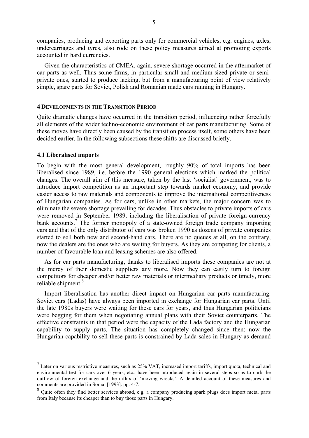companies, producing and exporting parts only for commercial vehicles, e.g. engines, axles, undercarriages and tyres, also rode on these policy measures aimed at promoting exports accounted in hard currencies.

Given the characteristics of CMEA, again, severe shortage occurred in the aftermarket of car parts as well. Thus some firms, in particular small and medium-sized private or semiprivate ones, started to produce lacking, but from a manufacturing point of view relatively simple, spare parts for Soviet, Polish and Romanian made cars running in Hungary.

#### **4 DEVELOPMENTS IN THE TRANSITION PERIOD**

Quite dramatic changes have occurred in the transition period, influencing rather forcefully all elements of the wider techno-economic environment of car parts manufacturing. Some of these moves have directly been caused by the transition process itself, some others have been decided earlier. In the following subsections these shifts are discussed briefly.

#### **4.1 Liberalised imports**

 $\overline{a}$ 

To begin with the most general development, roughly 90% of total imports has been liberalised since 1989, i.e. before the 1990 general elections which marked the political changes. The overall aim of this measure, taken by the last 'socialist' government, was to introduce import competition as an important step towards market economy, and provide easier access to raw materials and components to improve the international competitiveness of Hungarian companies. As for cars, unlike in other markets, the major concern was to eliminate the severe shortage prevailing for decades. Thus obstacles to private imports of cars were removed in September 1989, including the liberalisation of private foreign-currency bank accounts.<sup>7</sup> The former monopoly of a state-owned foreign trade company importing cars and that of the only distributor of cars was broken 1990 as dozens of private companies started to sell both new and second-hand cars. There are no queues at all, on the contrary, now the dealers are the ones who are waiting for buyers. As they are competing for clients, a number of favourable loan and leasing schemes are also offered.

As for car parts manufacturing, thanks to liberalised imports these companies are not at the mercy of their domestic suppliers any more. Now they can easily turn to foreign competitors for cheaper and/or better raw materials or intermediary products or timely, more reliable shipment.<sup>8</sup>

Import liberalisation has another direct impact on Hungarian car parts manufacturing. Soviet cars (Ladas) have always been imported in exchange for Hungarian car parts. Until the late 1980s buyers were waiting for these cars for years, and thus Hungarian politicians were begging for them when negotiating annual plans with their Soviet counterparts. The effective constraints in that period were the capacity of the Lada factory and the Hungarian capability to supply parts. The situation has completely changed since then: now the Hungarian capability to sell these parts is constrained by Lada sales in Hungary as demand

 $<sup>7</sup>$  Later on various restrictive measures, such as 25% VAT, increased import tariffs, import quota, technical and</sup> environmental test for cars over 6 years, etc., have been introduced again in several steps so as to curb the outflow of foreign exchange and the influx of 'moving wrecks'. A detailed account of these measures and comments are provided in Somai [1993]. pp. 4-7.

 $8$  Quite often they find better services abroad, e.g. a company producing spark plugs does import metal parts from Italy because its cheaper than to buy those parts in Hungary.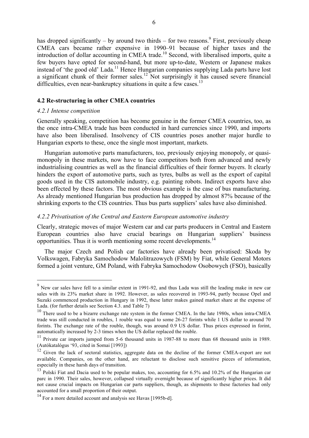has dropped significantly  $-$  by around two thirds  $-$  for two reasons.<sup>9</sup> First, previously cheap CMEA cars became rather expensive in 1990–91 because of higher taxes and the introduction of dollar accounting in CMEA trade.<sup>10</sup> Second, with liberalised imports, quite a few buyers have opted for second-hand, but more up-to-date, Western or Japanese makes instead of 'the good old' Lada.<sup>11</sup> Hence Hungarian companies supplying Lada parts have lost a significant chunk of their former sales.<sup>12</sup> Not surprisingly it has caused severe financial difficulties, even near-bankruptcy situations in quite a few cases.<sup>13</sup>

## **4.2 Re-structuring in other CMEA countries**

## *4.2.1 Intense competition*

 $\overline{a}$ 

Generally speaking, competition has become genuine in the former CMEA countries, too, as the once intra-CMEA trade has been conducted in hard currencies since 1990, and imports have also been liberalised. Insolvency of CIS countries poses another major hurdle to Hungarian exports to these, once the single most important, markets.

Hungarian automotive parts manufacturers, too, previously enjoying monopoly, or quasimonopoly in these markets, now have to face competitors both from advanced and newly industrialising countries as well as the financial difficulties of their former buyers. It clearly hinders the export of automotive parts, such as tyres, bulbs as well as the export of capital goods used in the CIS automobile industry, e.g. painting robots. Indirect exports have also been effected by these factors. The most obvious example is the case of bus manufacturing. As already mentioned Hungarian bus production has dropped by almost 87% because of the shrinking exports to the CIS countries. Thus bus parts suppliers' sales have also diminished.

## *4.2.2 Privatisation of the Central and Eastern European automotive industry*

Clearly, strategic moves of major Western car and car parts producers in Central and Eastern European countries also have crucial bearings on Hungarian suppliers' business opportunities. Thus it is worth mentioning some recent developments.<sup>14</sup>

The major Czech and Polish car factories have already been privatised: Skoda by Volkswagen, Fabryka Samochodow Malolitrazowych (FSM) by Fiat, while General Motors formed a joint venture, GM Poland, with Fabryka Samochodow Osobowych (FSO), basically

<sup>&</sup>lt;sup>9</sup> New car sales have fell to a similar extent in 1991-92, and thus Lada was still the leading make in new car sales with its 23% market share in 1992. However, as sales recovered in 1993-94, partly because Opel and Suzuki commenced production in Hungary in 1992, these latter makes gained market share at the expense of Lada. (for further details see Section 4.3. and Table 7)

<sup>&</sup>lt;sup>10</sup> There used to be a bizarre exchange rate system in the former CMEA. In the late 1980s, when intra-CMEA trade was still conducted in roubles, 1 rouble was equal to some 26-27 forints while 1 US dollar to around 70 forints. The exchange rate of the rouble, though, was around 0.9 US dollar. Thus prices expressed in forint, automatically increased by 2-3 times when the US dollar replaced the rouble.

<sup>&</sup>lt;sup>11</sup> Private car imports jumped from 5-6 thousand units in 1987-88 to more than 68 thousand units in 1989. (Autókatalógus '93, cited in Somai [1993])

<sup>&</sup>lt;sup>12</sup> Given the lack of sectoral statistics, aggregate data on the decline of the former CMEA-export are not available. Companies, on the other hand, are reluctant to disclose such sensitive pieces of information, especially in these harsh days of transition.

<sup>&</sup>lt;sup>13</sup> Polski Fiat and Dacia used to be popular makes, too, accounting for 6.5% and 10.2% of the Hungarian car parc in 1990. Their sales, however, collapsed virtually overnight because of significantly higher prices. It did not cause crucial impacts on Hungarian car parts suppliers, though, as shipments to these factories had only accounted for a small proportion of their output.

<sup>&</sup>lt;sup>14</sup> For a more detailed account and analysis see Havas [1995b-d].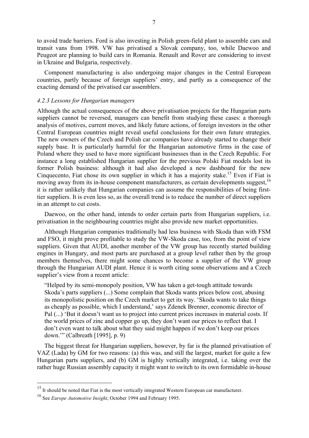to avoid trade barriers. Ford is also investing in Polish green-field plant to assemble cars and transit vans from 1998. VW has privatised a Slovak company, too, while Daewoo and Peugeot are planning to build cars in Romania. Renault and Rover are considering to invest in Ukraine and Bulgaria, respectively.

Component manufacturing is also undergoing major changes in the Central European countries, partly because of foreign suppliers' entry, and partly as a consequence of the exacting demand of the privatised car assemblers.

#### *4.2.3 Lessons for Hungarian managers*

Although the actual consequences of the above privatisation projects for the Hungarian parts suppliers cannot be reversed, managers can benefit from studying these cases: a thorough analysis of motives, current moves, and likely future actions, of foreign investors in the other Central European countries might reveal useful conclusions for their own future strategies. The new owners of the Czech and Polish car companies have already started to change their supply base. It is particularly harmful for the Hungarian automotive firms in the case of Poland where they used to have more significant businesses than in the Czech Republic. For instance a long established Hungarian supplier for the previous Polski Fiat models lost its former Polish business: although it had also developed a new dashboard for the new Cinquecento, Fiat chose its own supplier in which it has a majority stake.<sup>15</sup> Even if Fiat is moving away from its in-house component manufacturers, as certain developments suggest,<sup>16</sup> it is rather unlikely that Hungarian companies can assume the responsibilities of being firsttier suppliers. It is even less so, as the overall trend is to reduce the number of direct suppliers in an attempt to cut costs.

Daewoo, on the other hand, intends to order certain parts from Hungarian suppliers, i.e. privatisation in the neighbouring countries might also provide new market opportunities.

Although Hungarian companies traditionally had less business with Skoda than with FSM and FSO, it might prove profitable to study the VW-Skoda case, too, from the point of view suppliers. Given that AUDI, another member of the VW group has recently started building engines in Hungary, and most parts are purchased at a group level rather then by the group members themselves, there might some chances to become a supplier of the VW group through the Hungarian AUDI plant. Hence it is worth citing some observations and a Czech supplier's view from a recent article:

"Helped by its semi-monopoly position, VW has taken a get-tough attitude towards Skoda's parts suppliers (...) Some complain that Skoda wants prices below cost, abusing its monopolistic position on the Czech market to get its way. 'Skoda wants to take things as cheaply as possible, which I understand,' says Zdenek Brenner, economic director of Pal (...) 'But it doesn't want us to project into current prices increases in material costs. If the world prices of zinc and copper go up, they don't want our prices to reflect that. I don't even want to talk about what they said might happen if we don't keep our prices down.'" (Calbreath [1995], p. 9)

The biggest threat for Hungarian suppliers, however, by far is the planned privatisation of VAZ (Lada) by GM for two reasons: (a) this was, and still the largest, market for quite a few Hungarian parts suppliers, and (b) GM is highly vertically integrated, i.e. taking over the rather huge Russian assembly capacity it might want to switch to its own formidable in-house

 $15$  It should be noted that Fiat is the most vertically integrated Western European car manufacturer.

<sup>16</sup> See *Europe Automotive Insight*, October 1994 and February 1995.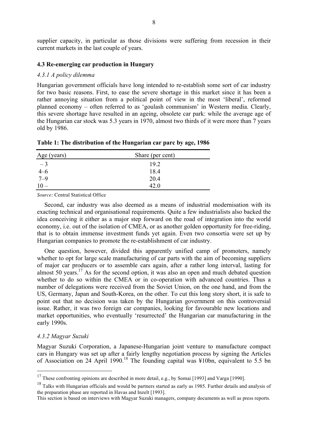supplier capacity, in particular as those divisions were suffering from recession in their current markets in the last couple of years.

#### **4.3 Re-emerging car production in Hungary**

#### *4.3.1 A policy dilemma*

Hungarian government officials have long intended to re-establish some sort of car industry for two basic reasons. First, to ease the severe shortage in this market since it has been a rather annoying situation from a political point of view in the most 'liberal', reformed planned economy – often referred to as 'goulash communism' in Western media. Clearly, this severe shortage have resulted in an ageing, obsolete car park: while the average age of the Hungarian car stock was 5.3 years in 1970, almost two thirds of it were more than 7 years old by 1986.

| Age (years)       | Share (per cent) |
|-------------------|------------------|
| $-3$              | 19.2             |
|                   | 18.4             |
| $\frac{4-6}{7-9}$ | 20.4             |
|                   | 42 O             |

**Table 1: The distribution of the Hungarian car parc by age, 1986**

*Source:* Central Statistical Office

Second, car industry was also deemed as a means of industrial modernisation with its exacting technical and organisational requirements. Quite a few industrialists also backed the idea conceiving it either as a major step forward on the road of integration into the world economy, i.e. out of the isolation of CMEA, or as another golden opportunity for free-riding, that is to obtain immense investment funds yet again. Even two consortia were set up by Hungarian companies to promote the re-establishment of car industry.

One question, however, divided this apparently unified camp of promoters, namely whether to opt for large scale manufacturing of car parts with the aim of becoming suppliers of major car producers or to assemble cars again, after a rather long interval, lasting for almost 50 years.<sup>17</sup> As for the second option, it was also an open and much debated question whether to do so within the CMEA or in co-operation with advanced countries. Thus a number of delegations were received from the Soviet Union, on the one hand, and from the US, Germany, Japan and South-Korea, on the other. To cut this long story short, it is safe to point out that no decision was taken by the Hungarian government on this controversial issue. Rather, it was two foreign car companies, looking for favourable new locations and market opportunities, who eventually 'resurrected' the Hungarian car manufacturing in the early 1990s.

## *4.3.2 Magyar Suzuki*

 $\overline{a}$ 

Magyar Suzuki Corporation, a Japanese-Hungarian joint venture to manufacture compact cars in Hungary was set up after a fairly lengthy negotiation process by signing the Articles of Association on 24 April 1990.<sup>18</sup> The founding capital was ¥10bn, equivalent to 5.5 bn

 $17$  These confronting opinions are described in more detail, e.g., by Somai [1993] and Varga [1990].

<sup>&</sup>lt;sup>18</sup> Talks with Hungarian officials and would be partners started as early as 1985. Further details and analysis of the preparation phase are reported in Havas and Inzelt [1993].

This section is based on interviews with Magyar Suzuki managers, company documents as well as press reports.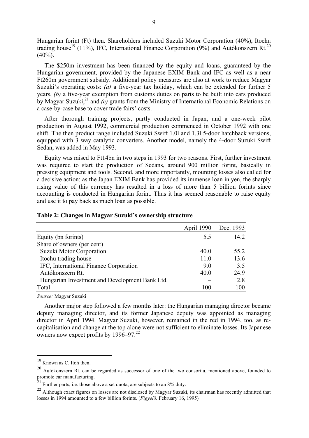Hungarian forint (Ft) then. Shareholders included Suzuki Motor Corporation (40%), Itochu trading house<sup>19</sup> (11%), IFC, International Finance Corporation (9%) and Autókonszern Rt.<sup>20</sup>  $(40\%)$ .

The \$250m investment has been financed by the equity and loans, guaranteed by the Hungarian government, provided by the Japanese EXIM Bank and IFC as well as a near Ft260m government subsidy. Additional policy measures are also at work to reduce Magyar Suzuki's operating costs: *(a)* a five-year tax holiday, which can be extended for further 5 years, *(b)* a five-year exemption from customs duties on parts to be built into cars produced by Magyar Suzuki,<sup>21</sup> and *(c)* grants from the Ministry of International Economic Relations on a case-by-case base to cover trade fairs' costs.

After thorough training projects, partly conducted in Japan, and a one-week pilot production in August 1992, commercial production commenced in October 1992 with one shift. The then product range included Suzuki Swift 1.0l and 1.3l 5-door hatchback versions, equipped with 3 way catalytic converters. Another model, namely the 4-door Suzuki Swift Sedan, was added in May 1993.

Equity was raised to Ft14bn in two steps in 1993 for two reasons. First, further investment was required to start the production of Sedans, around 900 million forint, basically in pressing equipment and tools. Second, and more importantly, mounting losses also called for a decisive action: as the Japan EXIM Bank has provided its immense loan in yen, the sharply rising value of this currency has resulted in a loss of more than 5 billion forints since accounting is conducted in Hungarian forint. Thus it has seemed reasonable to raise equity and use it to pay back as much loan as possible.

|                                                | April 1990 | Dec. 1993 |
|------------------------------------------------|------------|-----------|
| Equity (bn forints)                            | 55         | 14.2      |
| Share of owners (per cent)                     |            |           |
| Suzuki Motor Corporation                       | 40.0       | 55.2      |
| Itochu trading house                           | 11.0       | 13.6      |
| IFC, International Finance Corporation         | 9.0        | 3.5       |
| Autókonszern Rt.                               | 40.0       | 24.9      |
| Hungarian Investment and Development Bank Ltd. |            | 2.8       |
| Total                                          | 100        | 100       |

## **Table 2: Changes in Magyar Suzuki's ownership structure**

*Source:* Magyar Suzuki

Another major step followed a few months later: the Hungarian managing director became deputy managing director, and its former Japanese deputy was appointed as managing director in April 1994. Magyar Suzuki, however, remained in the red in 1994, too, as recapitalisation and change at the top alone were not sufficient to eliminate losses. Its Japanese owners now expect profits by 1996–97.<sup>22</sup>

<sup>19</sup> Known as C. Itoh then.

<sup>&</sup>lt;sup>20</sup> Autókonszern Rt. can be regarded as successor of one of the two consortia, mentioned above, founded to promote car manufacturing.

<sup>&</sup>lt;sup>21</sup> Further parts, i.e. those above a set quota, are subjects to an  $8\%$  duty.

<sup>&</sup>lt;sup>22</sup> Although exact figures on losses are not disclosed by Magyar Suzuki, its chairman has recently admitted that losses in 1994 amounted to a few billion forints. (*Figyelõ,* February 16, 1995)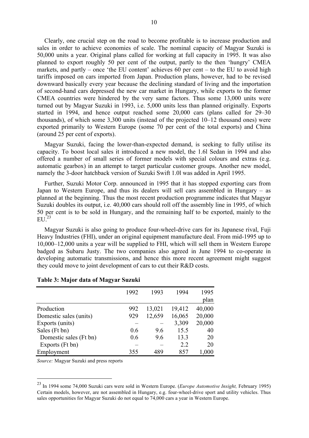Clearly, one crucial step on the road to become profitable is to increase production and sales in order to achieve economies of scale. The nominal capacity of Magyar Suzuki is 50,000 units a year. Original plans called for working at full capacity in 1995. It was also planned to export roughly 50 per cent of the output, partly to the then 'hungry' CMEA markets, and partly – once 'the EU content' achieves 60 per cent – to the EU to avoid high tariffs imposed on cars imported from Japan. Production plans, however, had to be revised downward basically every year because the declining standard of living and the importation of second-hand cars depressed the new car market in Hungary, while exports to the former CMEA countries were hindered by the very same factors. Thus some 13,000 units were turned out by Magyar Suzuki in 1993, i.e. 5,000 units less than planned originally. Exports started in 1994, and hence output reached some 20,000 cars (plans called for 29–30 thousands), of which some 3,300 units (instead of the projected 10–12 thousand ones) were exported primarily to Western Europe (some 70 per cent of the total exports) and China (around 25 per cent of exports).

Magyar Suzuki, facing the lower-than-expected demand, is seeking to fully utilise its capacity. To boost local sales it introduced a new model, the 1.6l Sedan in 1994 and also offered a number of small series of former models with special colours and extras (e.g. automatic gearbox) in an attempt to target particular customer groups. Another new model, namely the 3-door hatchback version of Suzuki Swift 1.0l was added in April 1995.

Further, Suzuki Motor Corp. announced in 1995 that it has stopped exporting cars from Japan to Western Europe, and thus its dealers will sell cars assembled in Hungary – as planned at the beginning. Thus the most recent production programme indicates that Magyar Suzuki doubles its output, i.e. 40,000 cars should roll off the assembly line in 1995, of which 50 per cent is to be sold in Hungary, and the remaining half to be exported, mainly to the  $EU<sup>23</sup>$ 

Magyar Suzuki is also going to produce four-wheel-drive cars for its Japanese rival, Fuji Heavy Industries (FHI), under an original equipment manufacture deal. From mid-1995 up to 10,000–12,000 units a year will be supplied to FHI, which will sell them in Western Europe badged as Subaru Justy. The two companies also agreed in June 1994 to co-operate in developing automatic transmissions, and hence this more recent agreement might suggest they could move to joint development of cars to cut their R&D costs.

|                        | 1992 | 1993   | 1994   | 1995   |
|------------------------|------|--------|--------|--------|
|                        |      |        |        | plan   |
| Production             | 992  | 13,021 | 19,412 | 40,000 |
| Domestic sales (units) | 929  | 12,659 | 16,065 | 20,000 |
| Exports (units)        |      |        | 3,309  | 20,000 |
| Sales (Ft bn)          | 0.6  | 9.6    | 15.5   | 40     |
| Domestic sales (Ft bn) | 0.6  | 9.6    | 13.3   | 20     |
| Exports (Ft bn)        |      |        | 2.2    | 20     |
| Employment             | 355  | 489    | 857    | 1,000  |

#### **Table 3: Major data of Magyar Suzuki**

*Source:* Magyar Suzuki and press reports

<sup>23</sup> In 1994 some 74,000 Suzuki cars were sold in Western Europe. (*Europe Automotive Insight,* February 1995) Certain models, however, are not assembled in Hungary, e.g. four-wheel-drive sport and utility vehicles. Thus sales opportunities for Magyar Suzuki do not equal to 74,000 cars a year in Western Europe.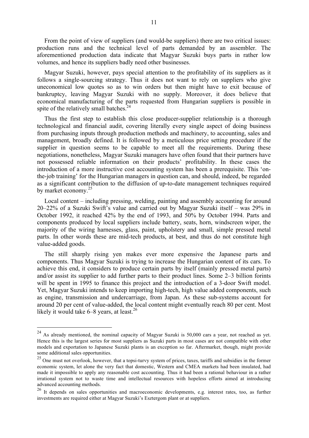From the point of view of suppliers (and would-be suppliers) there are two critical issues: production runs and the technical level of parts demanded by an assembler. The aforementioned production data indicate that Magyar Suzuki buys parts in rather low volumes, and hence its suppliers badly need other businesses.

Magyar Suzuki, however, pays special attention to the profitability of its suppliers as it follows a single-sourcing strategy. Thus it does not want to rely on suppliers who give uneconomical low quotes so as to win orders but then might have to exit because of bankruptcy, leaving Magyar Suzuki with no supply. Moreover, it does believe that economical manufacturing of the parts requested from Hungarian suppliers is possible in spite of the relatively small batches. $24$ 

Thus the first step to establish this close producer-supplier relationship is a thorough technological and financial audit, covering literally every single aspect of doing business from purchasing inputs through production methods and machinery, to accounting, sales and management, broadly defined. It is followed by a meticulous price setting procedure if the supplier in question seems to be capable to meet all the requirements. During these negotiations, nonetheless, Magyar Suzuki managers have often found that their partners have not possessed reliable information on their products' profitability. In these cases the introduction of a more instructive cost accounting system has been a prerequisite. This 'onthe-job training' for the Hungarian managers in question can, and should, indeed, be regarded as a significant contribution to the diffusion of up-to-date management techniques required by market economy.<sup>25</sup>

Local content – including pressing, welding, painting and assembly accounting for around 20–22% of a Suzuki Swift's value and carried out by Magyar Suzuki itself – was 29% in October 1992, it reached 42% by the end of 1993, and 50% by October 1994. Parts and components produced by local suppliers include battery, seats, horn, windscreen wiper, the majority of the wiring harnesses, glass, paint, upholstery and small, simple pressed metal parts. In other words these are mid-tech products, at best, and thus do not constitute high value-added goods.

The still sharply rising yen makes ever more expensive the Japanese parts and components. Thus Magyar Suzuki is trying to increase the Hungarian content of its cars. To achieve this end, it considers to produce certain parts by itself (mainly pressed metal parts) and/or assist its supplier to add further parts to their product lines. Some 2–3 billion forints will be spent in 1995 to finance this project and the introduction of a 3-door Swift model. Yet, Magyar Suzuki intends to keep importing high-tech, high value added components, such as engine, transmission and undercarriage, from Japan. As these sub-systems account for around 20 per cent of value-added, the local content might eventually reach 80 per cent. Most likely it would take  $6-8$  years, at least.<sup>26</sup>

 $24$  As already mentioned, the nominal capacity of Magyar Suzuki is 50,000 cars a year, not reached as yet. Hence this is the largest series for most suppliers as Suzuki parts in most cases are not compatible with other models and exportation to Japanese Suzuki plants is an exception so far. Aftermarket, though, might provide some additional sales opportunities.

<sup>&</sup>lt;sup>25</sup> One must not overlook, however, that a topsi-turvy system of prices, taxes, tariffs and subsidies in the former economic system, let alone the very fact that domestic, Western and CMEA markets had been insulated, had made it impossible to apply any reasonable cost accounting. Thus it had been a rational behaviour in a rather irrational system not to waste time and intellectual resources with hopeless efforts aimed at introducing advanced accounting methods.

<sup>&</sup>lt;sup>26</sup> It depends on sales opportunities and macroeconomic developments, e.g. interest rates, too, as further investments are required either at Magyar Suzuki's Esztergom plant or at suppliers.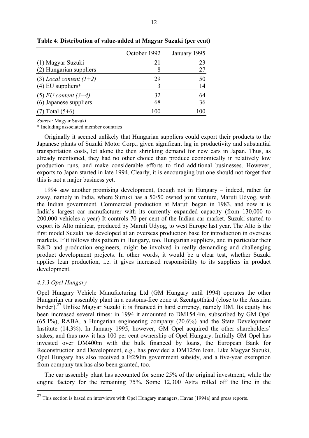|                           | October 1992 | January 1995 |
|---------------------------|--------------|--------------|
| (1) Magyar Suzuki         | 21           | 23           |
| (2) Hungarian suppliers   | 8            | 27           |
| (3) Local content $(l+2)$ | 29           | 50           |
| $(4)$ EU suppliers*       |              | 14           |
| $(5)$ EU content $(3+4)$  | 32           | 64           |
| (6) Japanese suppliers    | 68           | 36           |
| $(7)$ Total $(5+6)$       | 100          |              |

**Table 4**: **Distribution of value-added at Magyar Suzuki (per cent)** 

*Source:* Magyar Suzuki

\* Including associated member countries

Originally it seemed unlikely that Hungarian suppliers could export their products to the Japanese plants of Suzuki Motor Corp., given significant lag in productivity and substantial transportation costs, let alone the then shrinking demand for new cars in Japan. Thus, as already mentioned, they had no other choice than produce economically in relatively low production runs, and make considerable efforts to find additional businesses. However, exports to Japan started in late 1994. Clearly, it is encouraging but one should not forget that this is not a major business yet.

1994 saw another promising development, though not in Hungary – indeed, rather far away, namely in India, where Suzuki has a 50/50 owned joint venture, Maruti Udyog, with the Indian government. Commercial production at Maruti began in 1983, and now it is India's largest car manufacturer with its currently expanded capacity (from 130,000 to 200,000 vehicles a year) It controls 70 per cent of the Indian car market. Suzuki started to export its Alto minicar, produced by Maruti Udyog, to west Europe last year. The Alto is the first model Suzuki has developed at an overseas production base for introduction in overseas markets. If it follows this pattern in Hungary, too, Hungarian suppliers, and in particular their R&D and production engineers, might be involved in really demanding and challenging product development projects. In other words, it would be a clear test, whether Suzuki applies lean production, i.e. it gives increased responsibility to its suppliers in product development.

## *4.3.3 Opel Hungary*

 $\overline{a}$ 

Opel Hungary Vehicle Manufacturing Ltd (GM Hungary until 1994) operates the other Hungarian car assembly plant in a customs-free zone at Szentgotthárd (close to the Austrian border).<sup>27</sup> Unlike Magyar Suzuki it is financed in hard currency, namely DM. Its equity has been increased several times: in 1994 it amounted to DM154.4m, subscribed by GM Opel (65.1%), RÁBA, a Hungarian engineering company (20.6%) and the State Development Institute (14.3%). In January 1995, however, GM Opel acquired the other shareholders' stakes, and thus now it has 100 per cent ownership of Opel Hungary. Initially GM Opel has invested over DM400m with the bulk financed by loans, the European Bank for Reconstruction and Development, e.g., has provided a DM125m loan. Like Magyar Suzuki, Opel Hungary has also received a Ft250m government subsidy, and a five-year exemption from company tax has also been granted, too.

The car assembly plant has accounted for some 25% of the original investment, while the engine factory for the remaining 75%. Some 12,300 Astra rolled off the line in the

 $27$  This section is based on interviews with Opel Hungary managers, Havas [1994a] and press reports.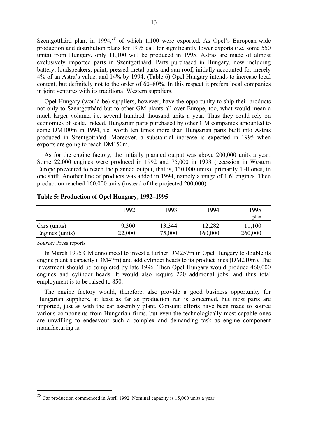Szentgotthárd plant in  $1994<sup>28</sup>$  of which 1,100 were exported. As Opel's European-wide production and distribution plans for 1995 call for significantly lower exports (i.e. some 550 units) from Hungary, only 11,100 will be produced in 1995. Astras are made of almost exclusively imported parts in Szentgotthárd. Parts purchased in Hungary, now including battery, loudspeakers, paint, pressed metal parts and sun roof, initially accounted for merely 4% of an Astra's value, and 14% by 1994. (Table 6) Opel Hungary intends to increase local content, but definitely not to the order of 60–80%. In this respect it prefers local companies in joint ventures with its traditional Western suppliers.

Opel Hungary (would-be) suppliers, however, have the opportunity to ship their products not only to Szentgotthárd but to other GM plants all over Europe, too, what would mean a much larger volume, i.e. several hundred thousand units a year. Thus they could rely on economies of scale. Indeed, Hungarian parts purchased by other GM companies amounted to some DM100m in 1994, i.e. worth ten times more than Hungarian parts built into Astras produced in Szentgotthárd. Moreover, a substantial increase is expected in 1995 when exports are going to reach DM150m.

As for the engine factory, the initially planned output was above 200,000 units a year. Some 22,000 engines were produced in 1992 and 75,000 in 1993 (recession in Western Europe prevented to reach the planned output, that is, 130,000 units), primarily 1.4l ones, in one shift. Another line of products was added in 1994, namely a range of 1.6l engines. Then production reached 160,000 units (instead of the projected 200,000).

|                 | 1992   | 1993   | 1994    | 1995<br>plan |
|-----------------|--------|--------|---------|--------------|
| Cars (units)    | 9,300  | 13,344 | 12,282  | 11,100       |
| Engines (units) | 22,000 | 75,000 | 160,000 | 260,000      |

## **Table 5: Production of Opel Hungary, 1992–1995**

*Source:* Press reports

 $\overline{a}$ 

In March 1995 GM announced to invest a further DM257m in Opel Hungary to double its engine plant's capacity (DM47m) and add cylinder heads to its product lines (DM210m). The investment should be completed by late 1996. Then Opel Hungary would produce 460,000 engines and cylinder heads. It would also require 220 additional jobs, and thus total employment is to be raised to 850.

The engine factory would, therefore, also provide a good business opportunity for Hungarian suppliers, at least as far as production run is concerned, but most parts are imported, just as with the car assembly plant. Constant efforts have been made to source various components from Hungarian firms, but even the technologically most capable ones are unwilling to endeavour such a complex and demanding task as engine component manufacturing is.

 $^{28}$  Car production commenced in April 1992. Nominal capacity is 15,000 units a year.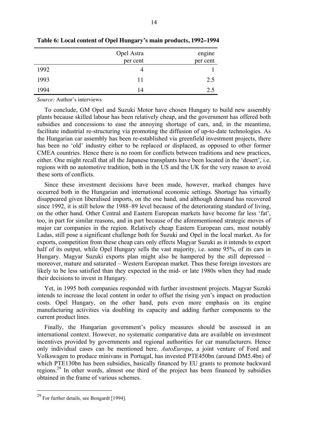|      | Opel Astra | engine   |
|------|------------|----------|
|      | per cent   | per cent |
| 1992 |            |          |
| 1993 | 11         | 2.5      |
| 1994 | 14         | 2.5      |

**Table 6: Local content of Opel Hungary's main products, 1992–1994** 

*Source:* Author's interviews

To conclude, GM Opel and Suzuki Motor have chosen Hungary to build new assembly plants because skilled labour has been relatively cheap, and the government has offered both subsidies and concessions to ease the annoying shortage of cars, and, in the meantime, facilitate industrial re-structuring via promoting the diffusion of up-to-date technologies. As the Hungarian car assembly has been re-established via greenfield investment projects, there has been no 'old' industry either to be replaced or displaced, as opposed to other former CMEA countries. Hence there is no room for conflicts between traditions and new practices, either. One might recall that all the Japanese transplants have been located in the 'desert', i.e. regions with no automotive tradition, both in the US and the UK for the very reason to avoid these sorts of conflicts.

Since these investment decisions have been made, however, marked changes have occurred both in the Hungarian and international economic settings. Shortage has virtually disappeared given liberalised imports, on the one hand, and although demand has recovered since 1992, it is still below the 1988–89 level because of the deteriorating standard of living, on the other hand. Other Central and Eastern European markets have become far less 'fat', too, in part for similar reasons, and in part because of the aforementioned strategic moves of major car companies in the region. Relatively cheap Eastern European cars, most notably Ladas, still pose a significant challenge both for Suzuki and Opel in the local market. As for exports, competition from these cheap cars only effects Magyar Suzuki as it intends to export half of its output, while Opel Hungary sells the vast majority, i.e. some 95%, of its cars in Hungary. Magyar Suzuki exports plan might also be hampered by the still depressed – moreover, mature and saturated – Western European market. Thus these foreign investors are likely to be less satisfied than they expected in the mid- or late 1980s when they had made their decisions to invest in Hungary.

Yet, in 1995 both companies responded with further investment projects. Magyar Suzuki intends to increase the local content in order to offset the rising yen's impact on production costs. Opel Hungary, on the other hand, puts even more emphasis on its engine manufacturing activities via doubling its capacity and adding further components to the current product lines.

Finally, the Hungarian government's policy measures should be assessed in an international context. However, no systematic comparative data are available on investment incentives provided by governments and regional authorities for car manufacturers. Hence only individual cases can be mentioned here. *AutoEuropa*, a joint venture of Ford and Volkswagen to produce minivans in Portugal, has invested PTE450bn (around DM5.4bn) of which PTE130bn has been subsidies, basically financed by EU grants to promote backward regions.<sup>29</sup> In other words, almost one third of the project has been financed by subsidies obtained in the frame of various schemes.

<sup>29</sup> For further details, see Bongardt [1994].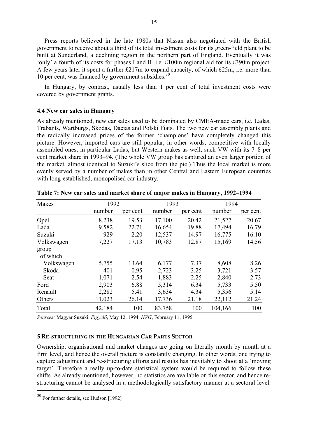Press reports believed in the late 1980s that Nissan also negotiated with the British government to receive about a third of its total investment costs for its green-field plant to be built at Sunderland, a declining region in the northern part of England. Eventually it was 'only' a fourth of its costs for phases I and II, i.e. £100m regional aid for its £390m project. A few years later it spent a further £217m to expand capacity, of which £25m, i.e. more than 10 per cent, was financed by government subsidies. $30$ 

In Hungary, by contrast, usually less than 1 per cent of total investment costs were covered by government grants.

## **4.4 New car sales in Hungary**

As already mentioned, new car sales used to be dominated by CMEA-made cars, i.e. Ladas, Trabants, Wartburgs, Skodas, Dacias and Polski Fiats. The two new car assembly plants and the radically increased prices of the former 'champions' have completely changed this picture. However, imported cars are still popular, in other words, competitive with locally assembled ones, in particular Ladas, but Western makes as well, such VW with its 7–8 per cent market share in 1993–94. (The whole VW group has captured an even larger portion of the market, almost identical to Suzuki's slice from the pie.) Thus the local market is more evenly served by a number of makes than in other Central and Eastern European countries with long-established, monopolised car industry.

| Makes             | 1992   |          | 1993   |          | 1994    |          |
|-------------------|--------|----------|--------|----------|---------|----------|
|                   | number | per cent | number | per cent | number  | per cent |
| Opel              | 8,238  | 19.53    | 17,100 | 20.42    | 21,527  | 20.67    |
| Lada              | 9,582  | 22.71    | 16,654 | 19.88    | 17,494  | 16.79    |
| Suzuki            | 929    | 2.20     | 12,537 | 14.97    | 16,775  | 16.10    |
| Volkswagen        | 7,227  | 17.13    | 10,783 | 12.87    | 15,169  | 14.56    |
| group<br>of which |        |          |        |          |         |          |
| Volkswagen        | 5,755  | 13.64    | 6,177  | 7.37     | 8,608   | 8.26     |
| Skoda             | 401    | 0.95     | 2,723  | 3.25     | 3,721   | 3.57     |
| Seat              | 1,071  | 2.54     | 1,883  | 2.25     | 2,840   | 2.73     |
| Ford              | 2,903  | 6.88     | 5,314  | 6.34     | 5,733   | 5.50     |
| Renault           | 2,282  | 5.41     | 3,634  | 4.34     | 5,356   | 5.14     |
| Others            | 11,023 | 26.14    | 17,736 | 21.18    | 22,112  | 21.24    |
| Total             | 42,184 | 100      | 83,758 | 100      | 104,166 | 100      |

**Table 7: New car sales and market share of major makes in Hungary, 1992–1994** 

*Sources:* Magyar Suzuki, *Figyelő*, May 12, 1994, *HVG*, February 11, 1995

## **5 RE-STRUCTURING IN THE HUNGARIAN CAR PARTS SECTOR**

Ownership, organisational and market changes are going on literally month by month at a firm level, and hence the overall picture is constantly changing. In other words, one trying to capture adjustment and re-structuring efforts and results has inevitably to shoot at a 'moving target'. Therefore a really up-to-date statistical system would be required to follow these shifts. As already mentioned, however, no statistics are available on this sector, and hence restructuring cannot be analysed in a methodologically satisfactory manner at a sectoral level.

<sup>30</sup> For further details, see Hudson [1992]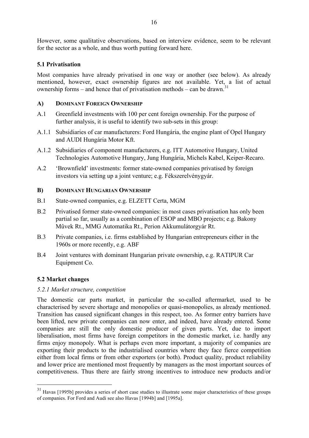However, some qualitative observations, based on interview evidence, seem to be relevant for the sector as a whole, and thus worth putting forward here.

# **5.1 Privatisation**

Most companies have already privatised in one way or another (see below). As already mentioned, however, exact ownership figures are not available. Yet, a list of actual ownership forms – and hence that of privatisation methods – can be drawn.<sup>31</sup>

# **A) DOMINANT FOREIGN OWNERSHIP**

- A.1 Greenfield investments with 100 per cent foreign ownership. For the purpose of further analysis, it is useful to identify two sub-sets in this group:
- A.1.1 Subsidiaries of car manufacturers: Ford Hungária, the engine plant of Opel Hungary and AUDI Hungária Motor Kft.
- A.1.2 Subsidiaries of component manufacturers, e.g. ITT Automotive Hungary, United Technologies Automotive Hungary, Jung Hungária, Michels Kabel, Keiper-Recaro.
- A.2 'Brownfield' investments: former state-owned companies privatised by foreign investors via setting up a joint venture; e.g. Fékszerelvénygyár.

# **B) DOMINANT HUNGARIAN OWNERSHIP**

- B.1 State-owned companies, e.g. ELZETT Certa, MGM
- B.2 Privatised former state-owned companies: in most cases privatisation has only been partial so far, usually as a combination of ESOP and MBO projects; e.g. Bakony Mûvek Rt., MMG Automatika Rt., Perion Akkumulátorgyár Rt.
- B.3 Private companies, i.e. firms established by Hungarian entrepreneurs either in the 1960s or more recently, e.g. ABF
- B.4 Joint ventures with dominant Hungarian private ownership, e.g. RATIPUR Car Equipment Co.

# **5.2 Market changes**

 $\overline{a}$ 

# *5.2.1 Market structure, competition*

The domestic car parts market, in particular the so-called aftermarket, used to be characterised by severe shortage and monopolies or quasi-monopolies, as already mentioned. Transition has caused significant changes in this respect, too. As former entry barriers have been lifted, new private companies can now enter, and indeed, have already entered. Some companies are still the only domestic producer of given parts. Yet, due to import liberalisation, most firms have foreign competitors in the domestic market, i.e. hardly any firms enjoy monopoly. What is perhaps even more important, a majority of companies are exporting their products to the industrialised countries where they face fierce competition either from local firms or from other exporters (or both). Product quality, product reliability and lower price are mentioned most frequently by managers as the most important sources of competitiveness. Thus there are fairly strong incentives to introduce new products and/or

<sup>&</sup>lt;sup>31</sup> Havas [1995b] provides a series of short case studies to illustrate some major characteristics of these groups of companies. For Ford and Audi see also Havas [1994b] and [1995a].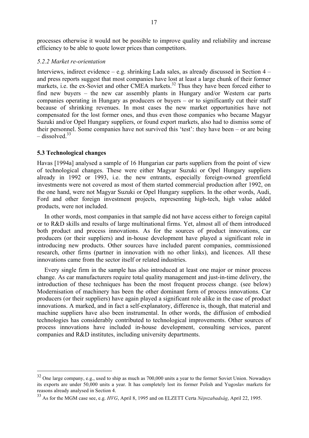processes otherwise it would not be possible to improve quality and reliability and increase efficiency to be able to quote lower prices than competitors.

#### *5.2.2 Market re-orientation*

Interviews, indirect evidence – e.g. shrinking Lada sales, as already discussed in Section 4 – and press reports suggest that most companies have lost at least a large chunk of their former markets, i.e. the ex-Soviet and other CMEA markets.<sup>32</sup> Thus they have been forced either to find new buyers – the new car assembly plants in Hungary and/or Western car parts companies operating in Hungary as producers or buyers – or to significantly cut their staff because of shrinking revenues. In most cases the new market opportunities have not compensated for the lost former ones, and thus even those companies who became Magyar Suzuki and/or Opel Hungary suppliers, or found export markets, also had to dismiss some of their personnel. Some companies have not survived this 'test': they have been – or are being  $-$  dissolved  $33$ 

## **5.3 Technological changes**

 $\overline{a}$ 

Havas [1994a] analysed a sample of 16 Hungarian car parts suppliers from the point of view of technological changes. These were either Magyar Suzuki or Opel Hungary suppliers already in 1992 or 1993, i.e. the new entrants, especially foreign-owned greenfield investments were not covered as most of them started commercial production after 1992, on the one hand, were not Magyar Suzuki or Opel Hungary suppliers. In the other words, Audi, Ford and other foreign investment projects, representing high-tech, high value added products, were not included.

In other words, most companies in that sample did not have access either to foreign capital or to R&D skills and results of large multinational firms. Yet, almost all of them introduced both product and process innovations. As for the sources of product innovations, car producers (or their suppliers) and in-house development have played a significant role in introducing new products. Other sources have included parent companies, commissioned research, other firms (partner in innovation with no other links), and licences. All these innovations came from the sector itself or related industries.

Every single firm in the sample has also introduced at least one major or minor process change. As car manufacturers require total quality management and just-in-time delivery, the introduction of these techniques has been the most frequent process change. (see below) Modernisation of machinery has been the other dominant form of process innovations. Car producers (or their suppliers) have again played a significant role alike in the case of product innovations. A marked, and in fact a self-explanatory, difference is, though, that material and machine suppliers have also been instrumental. In other words, the diffusion of embodied technologies has considerably contributed to technological improvements. Other sources of process innovations have included in-house development, consulting services, parent companies and R&D institutes, including university departments.

 $32$  One large company, e.g., used to ship as much as 700,000 units a year to the former Soviet Union. Nowadays its exports are under 50,000 units a year. It has completely lost its former Polish and Yugoslav markets for reasons already analysed in Section 4.

<sup>33</sup> As for the MGM case see, e.g. *HVG*, April 8, 1995 and on ELZETT Certa *Népszabadság*, April 22, 1995.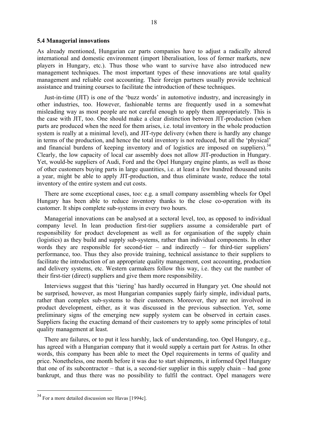#### **5.4 Managerial innovations**

As already mentioned, Hungarian car parts companies have to adjust a radically altered international and domestic environment (import liberalisation, loss of former markets, new players in Hungary, etc.). Thus those who want to survive have also introduced new management techniques. The most important types of these innovations are total quality management and reliable cost accounting. Their foreign partners usually provide technical assistance and training courses to facilitate the introduction of these techniques.

Just-in-time (JIT) is one of the 'buzz words' in automotive industry, and increasingly in other industries, too. However, fashionable terms are frequently used in a somewhat misleading way as most people are not careful enough to apply them appropriately. This is the case with JIT, too. One should make a clear distinction between JIT-production (when parts are produced when the need for them arises, i.e. total inventory in the whole production system is really at a minimal level), and JIT-type delivery (when there is hardly any change in terms of the production, and hence the total inventory is not reduced, but all the 'physical' and financial burdens of keeping inventory and of logistics are imposed on suppliers).<sup>34</sup> Clearly, the low capacity of local car assembly does not allow JIT-production in Hungary. Yet, would-be suppliers of Audi, Ford and the Opel Hungary engine plants, as well as those of other customers buying parts in large quantities, i.e. at least a few hundred thousand units a year, might be able to apply JIT-production, and thus eliminate waste, reduce the total inventory of the entire system and cut costs.

There are some exceptional cases, too: e.g. a small company assembling wheels for Opel Hungary has been able to reduce inventory thanks to the close co-operation with its customer. It ships complete sub-systems in every two hours.

Managerial innovations can be analysed at a sectoral level, too, as opposed to individual company level. In lean production first-tier suppliers assume a considerable part of responsibility for product development as well as for organisation of the supply chain (logistics) as they build and supply sub-systems, rather than individual components. In other words they are responsible for second-tier – and indirectly – for third-tier suppliers' performance, too. Thus they also provide training, technical assistance to their suppliers to facilitate the introduction of an appropriate quality management, cost accounting, production and delivery systems, etc. Western carmakers follow this way, i.e. they cut the number of their first-tier (direct) suppliers and give them more responsibility.

Interviews suggest that this 'tiering' has hardly occurred in Hungary yet. One should not be surprised, however, as most Hungarian companies supply fairly simple, individual parts, rather than complex sub-systems to their customers. Moreover, they are not involved in product development, either, as it was discussed in the previous subsection. Yet, some preliminary signs of the emerging new supply system can be observed in certain cases. Suppliers facing the exacting demand of their customers try to apply some principles of total quality management at least.

There are failures, or to put it less harshly, lack of understanding, too. Opel Hungary, e.g., has agreed with a Hungarian company that it would supply a certain part for Astras. In other words, this company has been able to meet the Opel requirements in terms of quality and price. Nonetheless, one month before it was due to start shipments, it informed Opel Hungary that one of its subcontractor – that is, a second-tier supplier in this supply chain – had gone bankrupt, and thus there was no possibility to fulfil the contract. Opel managers were

<sup>34</sup> For a more detailed discussion see Havas [1994c].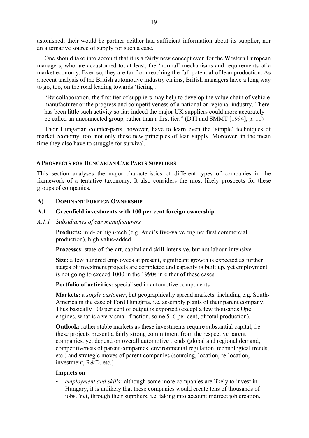astonished: their would-be partner neither had sufficient information about its supplier, nor an alternative source of supply for such a case.

One should take into account that it is a fairly new concept even for the Western European managers, who are accustomed to, at least, the 'normal' mechanisms and requirements of a market economy. Even so, they are far from reaching the full potential of lean production. As a recent analysis of the British automotive industry claims, British managers have a long way to go, too, on the road leading towards 'tiering':

"By collaboration, the first tier of suppliers may help to develop the value chain of vehicle manufacturer or the progress and competitiveness of a national or regional industry. There has been little such activity so far: indeed the major UK suppliers could more accurately be called an unconnected group, rather than a first tier." (DTI and SMMT [1994], p. 11)

Their Hungarian counter-parts, however, have to learn even the 'simple' techniques of market economy, too, not only these new principles of lean supply. Moreover, in the mean time they also have to struggle for survival.

## **6 PROSPECTS FOR HUNGARIAN CAR PARTS SUPPLIERS**

This section analyses the major characteristics of different types of companies in the framework of a tentative taxonomy. It also considers the most likely prospects for these groups of companies.

#### **A) DOMINANT FOREIGN OWNERSHIP**

## **A.1 Greenfield investments with 100 per cent foreign ownership**

#### *A.1.1 Subsidiaries of car manufacturers*

**Products:** mid- or high-tech (e.g. Audi's five-valve engine: first commercial production), high value-added

**Processes:** state-of-the-art, capital and skill-intensive, but not labour-intensive

**Size:** a few hundred employees at present, significant growth is expected as further stages of investment projects are completed and capacity is built up, yet employment is not going to exceed 1000 in the 1990s in either of these cases

**Portfolio of activities:** specialised in automotive components

**Markets:** a *single customer*, but geographically spread markets, including e.g. South-America in the case of Ford Hungária, i.e. assembly plants of their parent company. Thus basically 100 per cent of output is exported (except a few thousands Opel engines, what is a very small fraction, some 5–6 per cent, of total production).

**Outlook:** rather stable markets as these investments require substantial capital, i.e. these projects present a fairly strong commitment from the respective parent companies, yet depend on overall automotive trends (global and regional demand, competitiveness of parent companies, environmental regulation, technological trends, etc.) and strategic moves of parent companies (sourcing, location, re-location, investment, R&D, etc.)

## **Impacts on**

• *employment and skills:* although some more companies are likely to invest in Hungary, it is unlikely that these companies would create tens of thousands of jobs. Yet, through their suppliers, i.e. taking into account indirect job creation,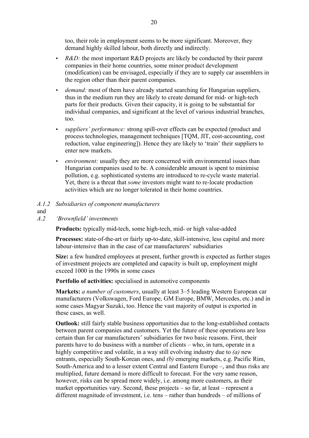too, their role in employment seems to be more significant. Moreover, they demand highly skilled labour, both directly and indirectly.

- *R&D:* the most important R&D projects are likely be conducted by their parent companies in their home countries, some minor product development (modification) can be envisaged, especially if they are to supply car assemblers in the region other than their parent companies.
- *demand:* most of them have already started searching for Hungarian suppliers, thus in the medium run they are likely to create demand for mid- or high-tech parts for their products. Given their capacity, it is going to be substantial for individual companies, and significant at the level of various industrial branches, too.
- *suppliers' performance:* strong spill-over effects can be expected (product and process technologies, management techniques [TQM, JIT, cost-accounting, cost reduction, value engineering]). Hence they are likely to 'train' their suppliers to enter new markets.
- *environment:* usually they are more concerned with environmental issues than Hungarian companies used to be. A considerable amount is spent to minimise pollution, e.g. sophisticated systems are introduced to re-cycle waste material. Yet, there is a threat that *some* investors might want to re-locate production activities which are no longer tolerated in their home countries.

# *A.1.2 Subsidiaries of component manufacturers*

and

## *A.2 'Brownfield' investments*

**Products:** typically mid-tech, some high-tech, mid- or high value-added

**Processes:** state-of-the-art or fairly up-to-date, skill-intensive, less capital and more labour-intensive than in the case of car manufacturers' subsidiaries

**Size:** a few hundred employees at present, further growth is expected as further stages of investment projects are completed and capacity is built up, employment might exceed 1000 in the 1990s in some cases

**Portfolio of activities:** specialised in automotive components

**Markets:** *a number of customers*, usually at least 3–5 leading Western European car manufacturers (Volkswagen, Ford Europe, GM Europe, BMW, Mercedes, etc.) and in some cases Magyar Suzuki, too. Hence the vast majority of output is exported in these cases, as well.

**Outlook:** still fairly stable business opportunities due to the long-established contacts between parent companies and customers. Yet the future of these operations are less certain than for car manufacturers' subsidiaries for two basic reasons. First, their parents have to do business with a number of clients – who, in turn, operate in a highly competitive and volatile, in a way still evolving industry due to *(a)* new entrants, especially South-Korean ones, and *(b)* emerging markets, e.g. Pacific Rim, South-America and to a lesser extent Central and Eastern Europe –, and thus risks are multiplied, future demand is more difficult to forecast. For the very same reason, however, risks can be spread more widely, i.e. among more customers, as their market opportunities vary. Second, these projects – so far, at least – represent a different magnitude of investment, i.e. tens – rather than hundreds – of millions of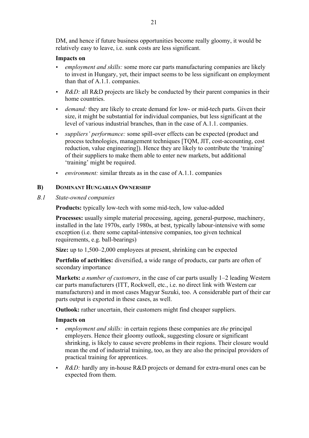DM, and hence if future business opportunities become really gloomy, it would be relatively easy to leave, i.e. sunk costs are less significant.

## **Impacts on**

- *employment and skills:* some more car parts manufacturing companies are likely to invest in Hungary, yet, their impact seems to be less significant on employment than that of A.1.1. companies.
- *R&D:* all R&D projects are likely be conducted by their parent companies in their home countries.
- *demand:* they are likely to create demand for low- or mid-tech parts. Given their size, it might be substantial for individual companies, but less significant at the level of various industrial branches, than in the case of A.1.1. companies.
- *suppliers' performance:* some spill-over effects can be expected (product and process technologies, management techniques [TQM, JIT, cost-accounting, cost reduction, value engineering]). Hence they are likely to contribute the 'training' of their suppliers to make them able to enter new markets, but additional 'training' might be required.
- *environment:* similar threats as in the case of A.1.1. companies

## **B) DOMINANT HUNGARIAN OWNERSHIP**

*B.1 State-owned companies* 

**Products:** typically low-tech with some mid-tech, low value-added

**Processes:** usually simple material processing, ageing, general-purpose, machinery, installed in the late 1970s, early 1980s, at best, typically labour-intensive with some exception (i.e. there some capital-intensive companies, too given technical requirements, e.g. ball-bearings)

**Size:** up to 1,500–2,000 employees at present, shrinking can be expected

**Portfolio of activities:** diversified, a wide range of products, car parts are often of secondary importance

**Markets:** *a number of customers*, in the case of car parts usually 1–2 leading Western car parts manufacturers (ITT, Rockwell, etc., i.e. no direct link with Western car manufacturers) and in most cases Magyar Suzuki, too. A considerable part of their car parts output is exported in these cases, as well.

**Outlook:** rather uncertain, their customers might find cheaper suppliers.

## **Impacts on**

- *employment and skills:* in certain regions these companies are *the* principal employers. Hence their gloomy outlook, suggesting closure or significant shrinking, is likely to cause severe problems in their regions. Their closure would mean the end of industrial training, too, as they are also the principal providers of practical training for apprentices.
- *R&D:* hardly any in-house R&D projects or demand for extra-mural ones can be expected from them.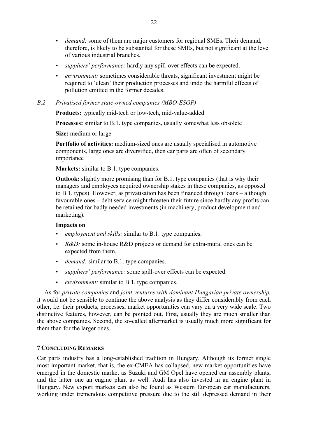- *demand:* some of them are major customers for regional SMEs. Their demand, therefore, is likely to be substantial for these SMEs, but not significant at the level of various industrial branches.
- suppliers' performance: hardly any spill-over effects can be expected.
- *environment:* sometimes considerable threats, significant investment might be required to 'clean' their production processes and undo the harmful effects of pollution emitted in the former decades.

## *B.2 Privatised former state-owned companies (MBO-ESOP)*

**Products:** typically mid-tech or low-tech, mid-value-added

**Processes:** similar to B.1. type companies, usually somewhat less obsolete

**Size:** medium or large

**Portfolio of activities:** medium-sized ones are usually specialised in automotive components, large ones are diversified, then car parts are often of secondary importance

**Markets:** similar to B.1. type companies.

**Outlook:** slightly more promising than for B.1. type companies (that is why their managers and employees acquired ownership stakes in these companies, as opposed to B.1. types). However, as privatisation has been financed through loans – although favourable ones – debt service might threaten their future since hardly any profits can be retained for badly needed investments (in machinery, product development and marketing).

## **Impacts on**

- employment and skills: similar to B.1. type companies.
- *R&D:* some in-house R&D projects or demand for extra-mural ones can be expected from them.
- *demand:* similar to B.1. type companies.
- *suppliers' performance:* some spill-over effects can be expected.
- *environment:* similar to B.1. type companies.

As for *private companies* and *joint ventures with dominant Hungarian private ownership,* it would not be sensible to continue the above analysis as they differ considerably from each other, i.e. their products, processes, market opportunities can vary on a very wide scale. Two distinctive features, however, can be pointed out. First, usually they are much smaller than the above companies. Second, the so-called aftermarket is usually much more significant for them than for the larger ones.

## **7 CONCLUDING REMARKS**

Car parts industry has a long-established tradition in Hungary. Although its former single most important market, that is, the ex-CMEA has collapsed, new market opportunities have emerged in the domestic market as Suzuki and GM Opel have opened car assembly plants, and the latter one an engine plant as well. Audi has also invested in an engine plant in Hungary. New export markets can also be found as Western European car manufacturers, working under tremendous competitive pressure due to the still depressed demand in their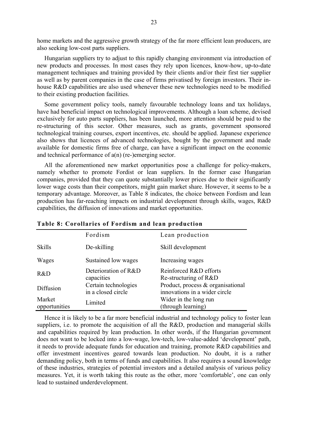home markets and the aggressive growth strategy of the far more efficient lean producers, are also seeking low-cost parts suppliers.

Hungarian suppliers try to adjust to this rapidly changing environment via introduction of new products and processes. In most cases they rely upon licences, know-how, up-to-date management techniques and training provided by their clients and/or their first tier supplier as well as by parent companies in the case of firms privatised by foreign investors. Their inhouse R&D capabilities are also used whenever these new technologies need to be modified to their existing production facilities.

Some government policy tools, namely favourable technology loans and tax holidays, have had beneficial impact on technological improvements. Although a loan scheme, devised exclusively for auto parts suppliers, has been launched, more attention should be paid to the re-structuring of this sector. Other measures, such as grants, government sponsored technological training courses, export incentives, etc. should be applied. Japanese experience also shows that licences of advanced technologies, bought by the government and made available for domestic firms free of charge, can have a significant impact on the economic and technical performance of a(n) (re-)emerging sector.

All the aforementioned new market opportunities pose a challenge for policy-makers, namely whether to promote Fordist or lean suppliers. In the former case Hungarian companies, provided that they can quote substantially lower prices due to their significantly lower wage costs than their competitors, might gain market share. However, it seems to be a temporary advantage. Moreover, as Table 8 indicates, the choice between Fordism and lean production has far-reaching impacts on industrial development through skills, wages, R&D capabilities, the diffusion of innovations and market opportunities.

|                         | Fordism                                    | Lean production                                                    |
|-------------------------|--------------------------------------------|--------------------------------------------------------------------|
| <b>Skills</b>           | De-skilling                                | Skill development                                                  |
| Wages                   | Sustained low wages                        | Increasing wages                                                   |
| R&D                     | Deterioration of R&D<br>capacities         | Reinforced R&D efforts<br>Re-structuring of R&D                    |
| Diffusion               | Certain technologies<br>in a closed circle | Product, process & organisational<br>innovations in a wider circle |
| Market<br>opportunities | Limited                                    | Wider in the long run<br>(through learning)                        |

**Table 8: Corollaries of Fordism and lean production**

Hence it is likely to be a far more beneficial industrial and technology policy to foster lean suppliers, i.e. to promote the acquisition of all the R&D, production and managerial skills and capabilities required by lean production. In other words, if the Hungarian government does not want to be locked into a low-wage, low-tech, low-value-added 'development' path, it needs to provide adequate funds for education and training, promote R&D capabilities and offer investment incentives geared towards lean production. No doubt, it is a rather demanding policy, both in terms of funds and capabilities. It also requires a sound knowledge of these industries, strategies of potential investors and a detailed analysis of various policy measures. Yet, it is worth taking this route as the other, more 'comfortable', one can only lead to sustained underdevelopment.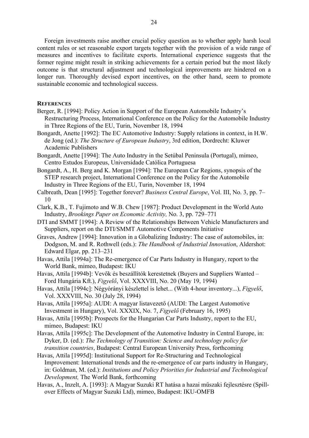Foreign investments raise another crucial policy question as to whether apply harsh local content rules or set reasonable export targets together with the provision of a wide range of measures and incentives to facilitate exports. International experience suggests that the former regime might result in striking achievements for a certain period but the most likely outcome is that structural adjustment and technological improvements are hindered on a longer run. Thoroughly devised export incentives, on the other hand, seem to promote sustainable economic and technological success.

#### **REFERENCES**

- Berger, R. [1994]: Policy Action in Support of the European Automobile Industry's Restructuring Process, International Conference on the Policy for the Automobile Industry in Three Regions of the EU, Turin, November 18, 1994
- Bongardt, Anette [1992]: The EC Automotive Industry: Supply relations in context, in H.W. de Jong (ed.): *The Structure of European Industry*, 3rd edition, Dordrecht: Kluwer Academic Publishers
- Bongardt, Anette [1994]: The Auto Industry in the Setúbal Peninsula (Portugal), mimeo, Centro Estudos Europeus, Universidade Católica Portuguesa
- Bongardt, A., H. Berg and K. Morgan [1994]: The European Car Regions, synopsis of the STEP research project, International Conference on the Policy for the Automobile Industry in Three Regions of the EU, Turin, November 18, 1994
- Calbreath, Dean [1995]: Together forever? *Business Central Europe*, Vol. III, No. 3, pp. 7– 10
- Clark, K.B., T. Fujimoto and W.B. Chew [1987]: Product Development in the World Auto Industry, *Brookings Paper on Economic Activity,* No. 3, pp. 729–771
- DTI and SMMT [1994]: A Review of the Relationships Between Vehicle Manufacturers and Suppliers, report on the DTI/SMMT Automotive Components Initiative
- Graves, Andrew [1994]: Innovation in a Globalizing Industry: The case of automobiles, in: Dodgson, M. and R. Rothwell (eds.): *The Handbook of Industrial Innovation*, Aldershot: Edward Elgar, pp. 213–231
- Havas, Attila [1994a]: The Re-emergence of Car Parts Industry in Hungary, report to the World Bank, mimeo, Budapest: IKU
- Havas, Attila [1994b]: Vevők és beszállítók kerestetnek (Buyers and Suppliers Wanted Ford Hungária Kft.), *Figyelő*, Vol. XXXVIII, No. 20 (May 19, 1994)
- Havas, Attila [1994c]: Négyórányi készlettel is lehet... (With 4-hour inventory...), *Figyelő*, Vol. XXXVIII, No. 30 (July 28, 1994)
- Havas, Attila [1995a]: AUDI: A magyar listavezető (AUDI: The Largest Automotive Investment in Hungary), Vol. XXXIX, No. 7, *Figyelő* (February 16, 1995)
- Havas, Attila [1995b]: Prospects for the Hungarian Car Parts Industry, report to the EU, mimeo, Budapest: IKU
- Havas, Attila [1995c]: The Development of the Automotive Industry in Central Europe, in: Dyker, D. (ed.): *The Technology of Transition: Science and technology policy for transition countries*, Budapest: Central European University Press, forthcoming
- Havas, Attila [1995d]: Institutional Support for Re-Structuring and Technological Improvement: International trends and the re-emergence of car parts industry in Hungary, in: Goldman, M. (ed.): *Institutions and Policy Priorities for Industrial and Technological Development,* The World Bank, forthcoming
- Havas, A., Inzelt, A. [1993]: A Magyar Suzuki RT hatása a hazai műszaki fejlesztésre (Spillover Effects of Magyar Suzuki Ltd), mimeo, Budapest: IKU-OMFB